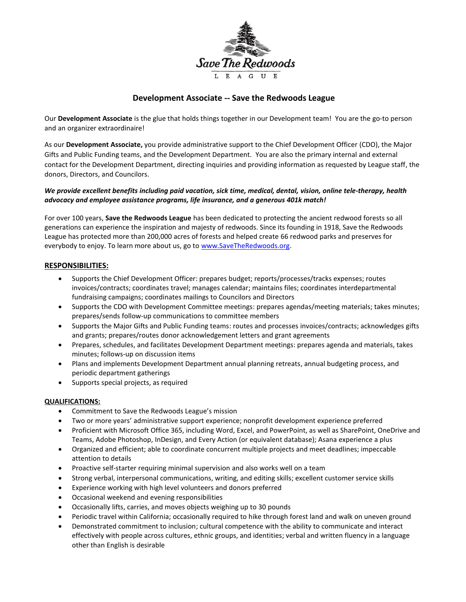

# **Development Associate -- Save the Redwoods League**

Our **Development Associate** is the glue that holds things together in our Development team! You are the go-to person and an organizer extraordinaire!

As our **Development Associate,** you provide administrative support to the Chief Development Officer (CDO), the Major Gifts and Public Funding teams, and the Development Department. You are also the primary internal and external contact for the Development Department, directing inquiries and providing information as requested by League staff, the donors, Directors, and Councilors.

## *We provide excellent benefits including paid vacation, sick time, medical, dental, vision, online tele-therapy, health advocacy and employee assistance programs, life insurance, and a generous 401k match!*

For over 100 years, **Save the Redwoods League** has been dedicated to protecting the ancient redwood forests so all generations can experience the inspiration and majesty of redwoods. Since its founding in 1918, Save the Redwoods League has protected more than 200,000 acres of forests and helped create 66 redwood parks and preserves for everybody to enjoy. To learn more about us, go to [www.SaveTheRedwoods.org.](http://www.savetheredwoods.org/)

### **RESPONSIBILITIES:**

- Supports the Chief Development Officer: prepares budget; reports/processes/tracks expenses; routes invoices/contracts; coordinates travel; manages calendar; maintains files; coordinates interdepartmental fundraising campaigns; coordinates mailings to Councilors and Directors
- Supports the CDO with Development Committee meetings: prepares agendas/meeting materials; takes minutes; prepares/sends follow-up communications to committee members
- Supports the Major Gifts and Public Funding teams: routes and processes invoices/contracts; acknowledges gifts and grants; prepares/routes donor acknowledgement letters and grant agreements
- Prepares, schedules, and facilitates Development Department meetings: prepares agenda and materials, takes minutes; follows-up on discussion items
- Plans and implements Development Department annual planning retreats, annual budgeting process, and periodic department gatherings
- Supports special projects, as required

### **QUALIFICATIONS:**

- Commitment to Save the Redwoods League's mission
- Two or more years' administrative support experience; nonprofit development experience preferred
- Proficient with Microsoft Office 365, including Word, Excel, and PowerPoint, as well as SharePoint, OneDrive and Teams, Adobe Photoshop, InDesign, and Every Action (or equivalent database); Asana experience a plus
- Organized and efficient; able to coordinate concurrent multiple projects and meet deadlines; impeccable attention to details
- Proactive self-starter requiring minimal supervision and also works well on a team
- Strong verbal, interpersonal communications, writing, and editing skills; excellent customer service skills
- Experience working with high level volunteers and donors preferred
- Occasional weekend and evening responsibilities
- Occasionally lifts, carries, and moves objects weighing up to 30 pounds
- Periodic travel within California; occasionally required to hike through forest land and walk on uneven ground
- Demonstrated commitment to inclusion; cultural competence with the ability to communicate and interact effectively with people across cultures, ethnic groups, and identities; verbal and written fluency in a language other than English is desirable